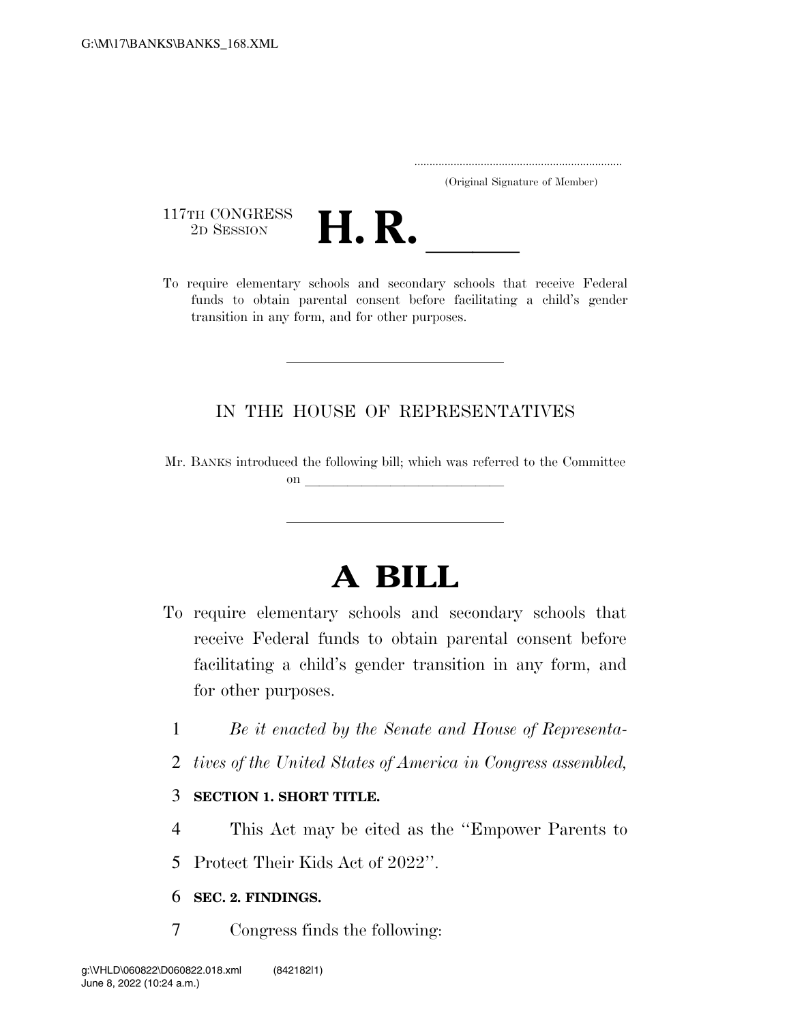..................................................................... (Original Signature of Member)

117TH CONGRESS<br>2D SESSION



117TH CONGRESS<br>
2D SESSION<br>
To require elementary schools and secondary schools that receive Federal funds to obtain parental consent before facilitating a child's gender transition in any form, and for other purposes.

## IN THE HOUSE OF REPRESENTATIVES

Mr. BANKS introduced the following bill; which was referred to the Committee on  $\overline{\qquad \qquad }$ 

# **A BILL**

- To require elementary schools and secondary schools that receive Federal funds to obtain parental consent before facilitating a child's gender transition in any form, and for other purposes.
	- 1 *Be it enacted by the Senate and House of Representa-*
	- 2 *tives of the United States of America in Congress assembled,*

### 3 **SECTION 1. SHORT TITLE.**

4 This Act may be cited as the ''Empower Parents to

5 Protect Their Kids Act of 2022''.

### 6 **SEC. 2. FINDINGS.**

7 Congress finds the following: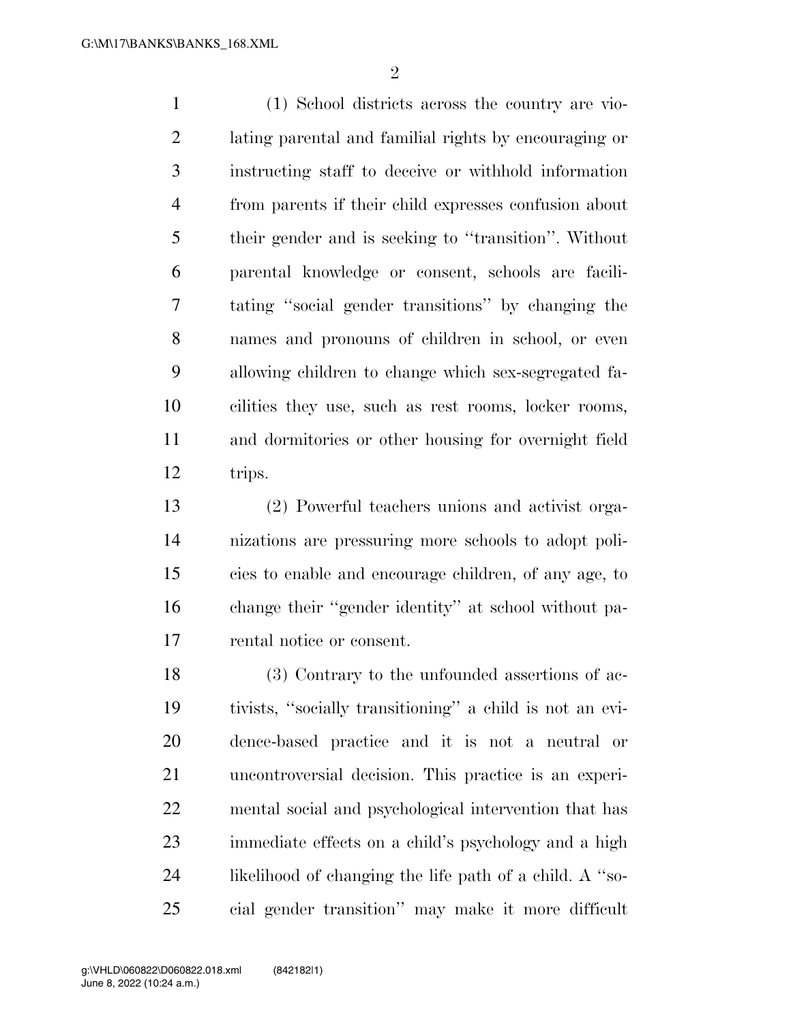(1) School districts across the country are vio- lating parental and familial rights by encouraging or instructing staff to deceive or withhold information from parents if their child expresses confusion about their gender and is seeking to ''transition''. Without parental knowledge or consent, schools are facili- tating ''social gender transitions'' by changing the names and pronouns of children in school, or even allowing children to change which sex-segregated fa- cilities they use, such as rest rooms, locker rooms, and dormitories or other housing for overnight field trips.

 (2) Powerful teachers unions and activist orga- nizations are pressuring more schools to adopt poli- cies to enable and encourage children, of any age, to change their ''gender identity'' at school without pa-rental notice or consent.

 (3) Contrary to the unfounded assertions of ac- tivists, ''socially transitioning'' a child is not an evi- dence-based practice and it is not a neutral or uncontroversial decision. This practice is an experi- mental social and psychological intervention that has immediate effects on a child's psychology and a high likelihood of changing the life path of a child. A ''so-cial gender transition'' may make it more difficult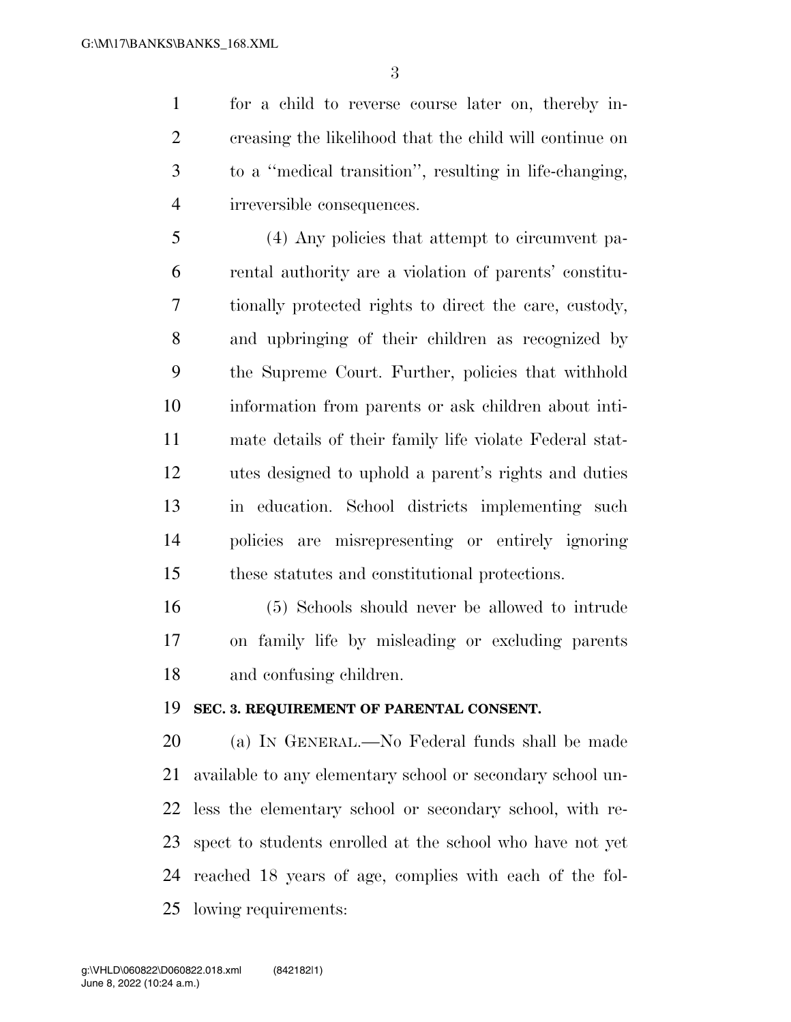for a child to reverse course later on, thereby in- creasing the likelihood that the child will continue on to a ''medical transition'', resulting in life-changing, irreversible consequences.

 (4) Any policies that attempt to circumvent pa- rental authority are a violation of parents' constitu- tionally protected rights to direct the care, custody, and upbringing of their children as recognized by the Supreme Court. Further, policies that withhold information from parents or ask children about inti- mate details of their family life violate Federal stat- utes designed to uphold a parent's rights and duties in education. School districts implementing such policies are misrepresenting or entirely ignoring these statutes and constitutional protections.

 (5) Schools should never be allowed to intrude on family life by misleading or excluding parents and confusing children.

#### **SEC. 3. REQUIREMENT OF PARENTAL CONSENT.**

 (a) IN GENERAL.—No Federal funds shall be made available to any elementary school or secondary school un- less the elementary school or secondary school, with re- spect to students enrolled at the school who have not yet reached 18 years of age, complies with each of the fol-lowing requirements: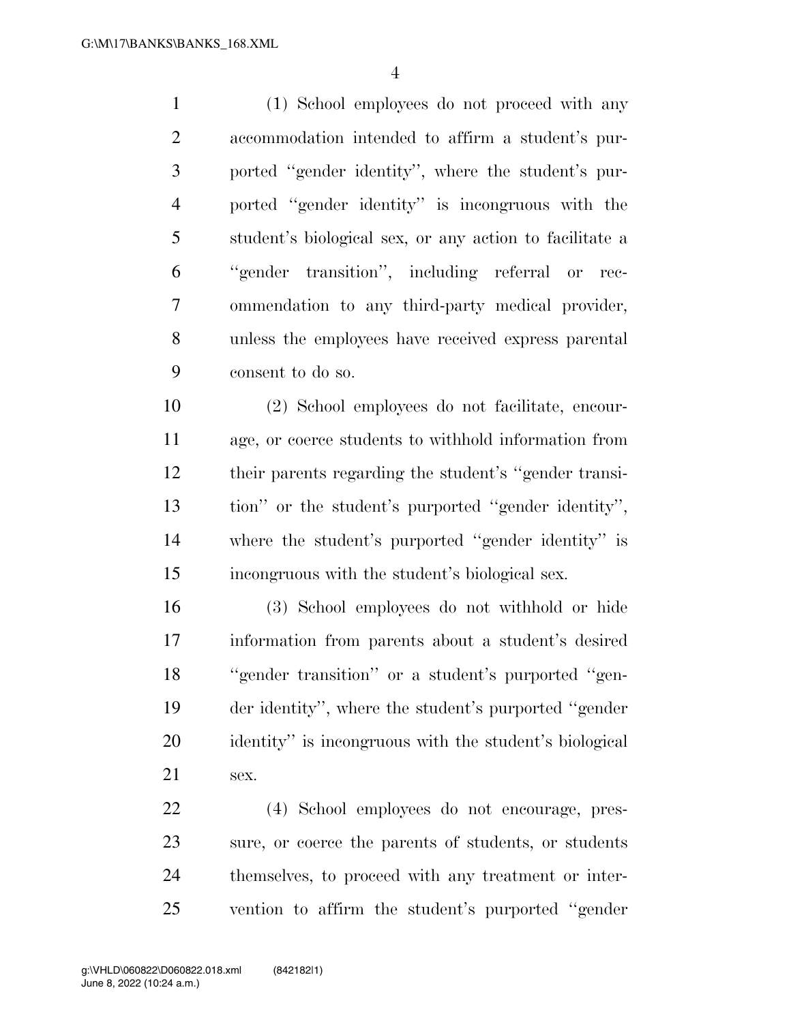(1) School employees do not proceed with any accommodation intended to affirm a student's pur- ported ''gender identity'', where the student's pur- ported ''gender identity'' is incongruous with the student's biological sex, or any action to facilitate a ''gender transition'', including referral or rec- ommendation to any third-party medical provider, unless the employees have received express parental consent to do so.

 (2) School employees do not facilitate, encour- age, or coerce students to withhold information from their parents regarding the student's ''gender transi- tion'' or the student's purported ''gender identity'', where the student's purported ''gender identity'' is incongruous with the student's biological sex.

 (3) School employees do not withhold or hide information from parents about a student's desired ''gender transition'' or a student's purported ''gen- der identity'', where the student's purported ''gender identity'' is incongruous with the student's biological sex.

 (4) School employees do not encourage, pres- sure, or coerce the parents of students, or students themselves, to proceed with any treatment or inter-vention to affirm the student's purported ''gender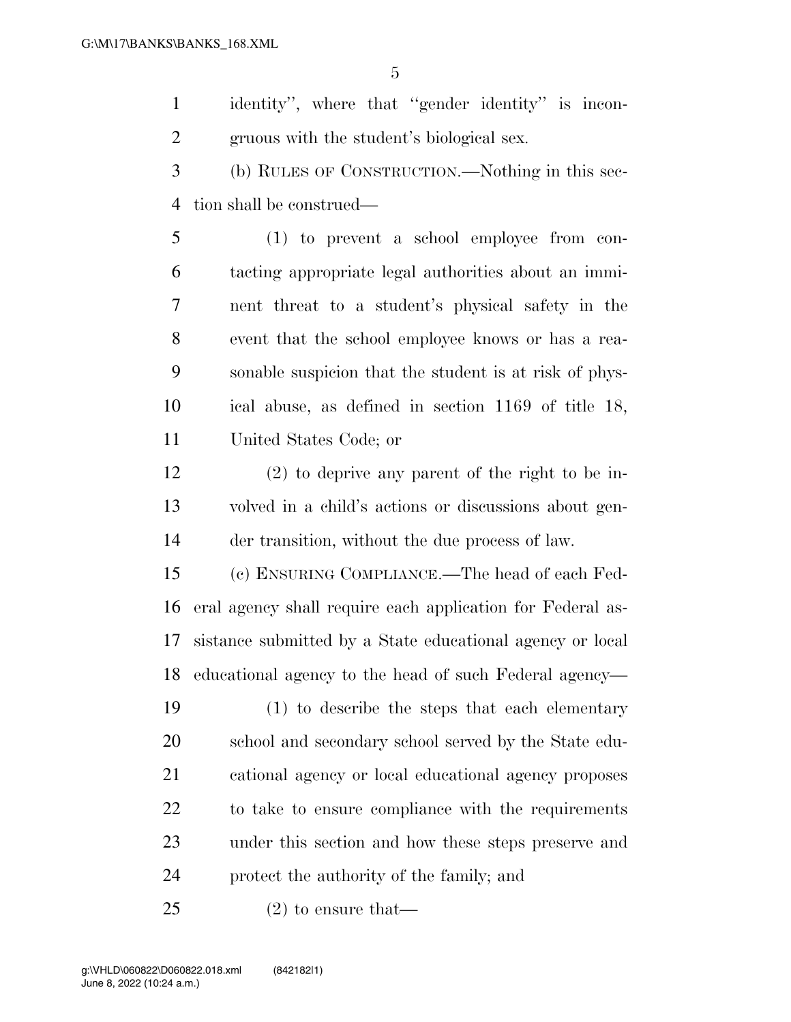identity'', where that ''gender identity'' is incon-gruous with the student's biological sex.

 (b) RULES OF CONSTRUCTION.—Nothing in this sec-tion shall be construed—

 (1) to prevent a school employee from con- tacting appropriate legal authorities about an immi- nent threat to a student's physical safety in the event that the school employee knows or has a rea- sonable suspicion that the student is at risk of phys- ical abuse, as defined in section 1169 of title 18, United States Code; or

 (2) to deprive any parent of the right to be in- volved in a child's actions or discussions about gen-der transition, without the due process of law.

 (c) ENSURING COMPLIANCE.—The head of each Fed- eral agency shall require each application for Federal as- sistance submitted by a State educational agency or local educational agency to the head of such Federal agency—

 (1) to describe the steps that each elementary 20 school and secondary school served by the State edu- cational agency or local educational agency proposes to take to ensure compliance with the requirements under this section and how these steps preserve and protect the authority of the family; and

(2) to ensure that—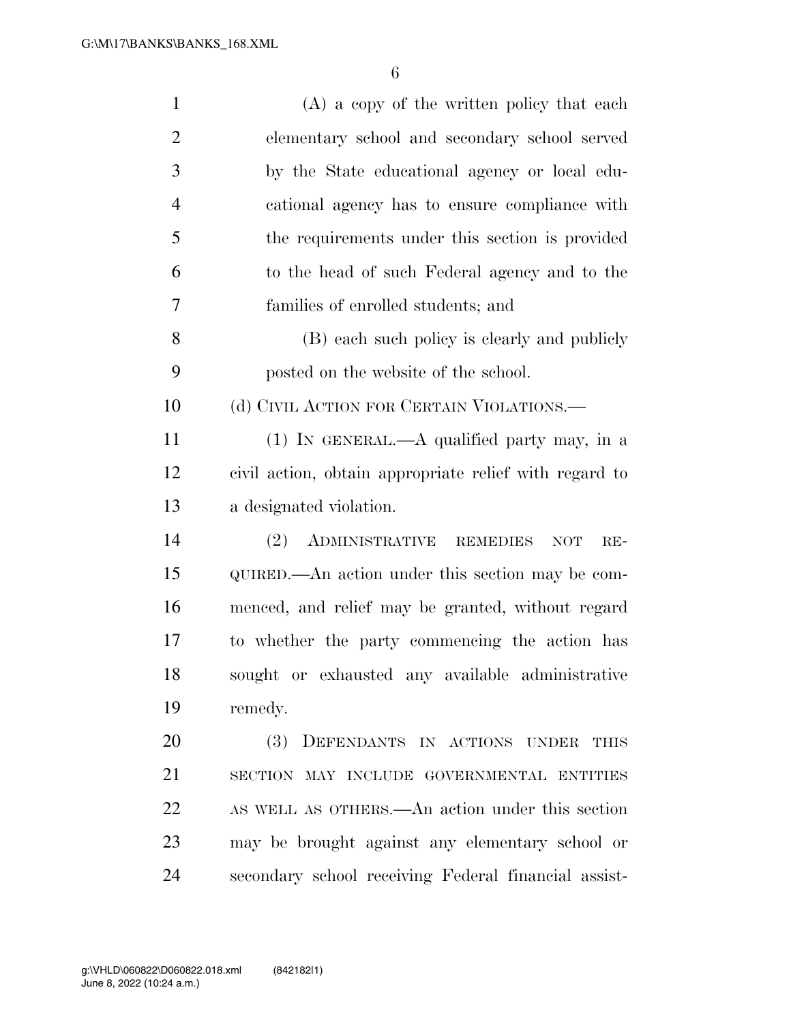| $\mathbf{1}$   | (A) a copy of the written policy that each             |
|----------------|--------------------------------------------------------|
| $\overline{2}$ | elementary school and secondary school served          |
| 3              | by the State educational agency or local edu-          |
| $\overline{4}$ | cational agency has to ensure compliance with          |
| 5              | the requirements under this section is provided        |
| 6              | to the head of such Federal agency and to the          |
| 7              | families of enrolled students; and                     |
| 8              | (B) each such policy is clearly and publicly           |
| 9              | posted on the website of the school.                   |
| 10             | (d) CIVIL ACTION FOR CERTAIN VIOLATIONS.—              |
| 11             | (1) IN GENERAL.—A qualified party may, in a            |
| 12             | civil action, obtain appropriate relief with regard to |
| 13             | a designated violation.                                |
| 14             | ADMINISTRATIVE REMEDIES<br>(2)<br>NOT<br>$RE-$         |
| 15             | QUIRED.—An action under this section may be com-       |
| 16             | menced, and relief may be granted, without regard      |
| 17             | to whether the party commencing the action has         |
| 18             | sought or exhausted any available administrative       |
| 19             | remedy.                                                |
| 20             | (3)<br>DEFENDANTS IN ACTIONS UNDER<br>THIS             |
| 21             | SECTION MAY INCLUDE GOVERNMENTAL ENTITIES              |
| 22             | AS WELL AS OTHERS.—An action under this section        |
| 23             | may be brought against any elementary school or        |
| 24             | secondary school receiving Federal financial assist-   |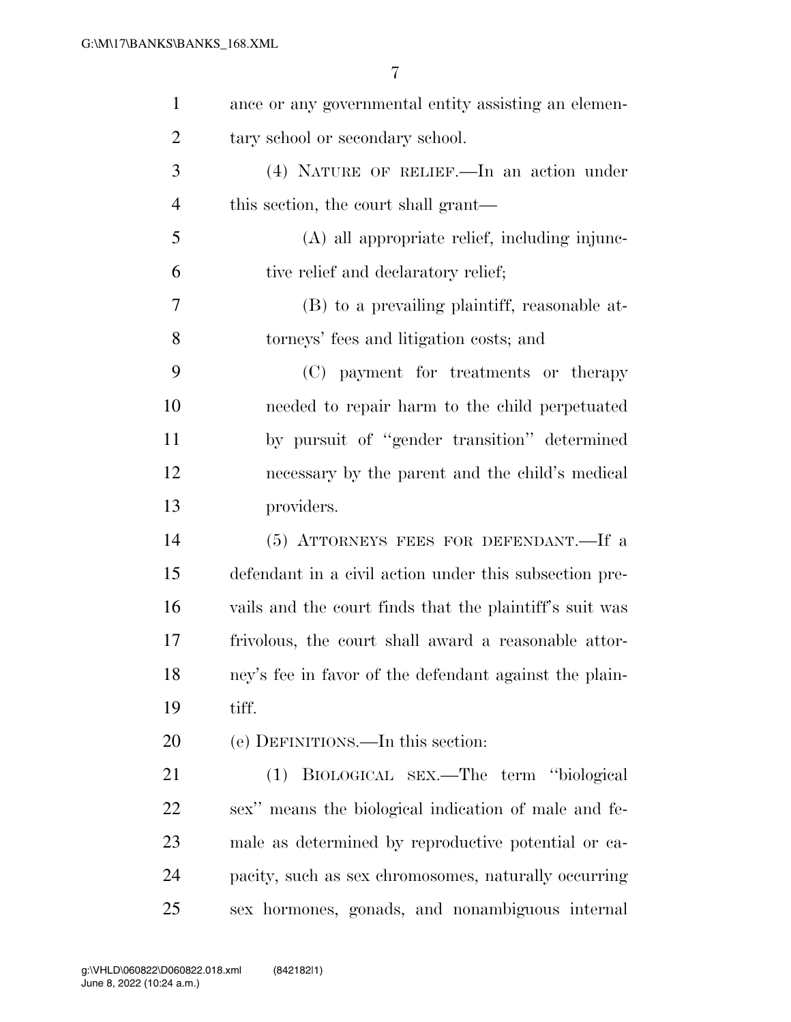| $\mathbf{1}$   | ance or any governmental entity assisting an elemen-    |
|----------------|---------------------------------------------------------|
| $\overline{2}$ | tary school or secondary school.                        |
| 3              | (4) NATURE OF RELIEF.—In an action under                |
| $\overline{4}$ | this section, the court shall grant—                    |
| 5              | (A) all appropriate relief, including injunc-           |
| 6              | tive relief and declaratory relief;                     |
| 7              | (B) to a prevailing plaintiff, reasonable at-           |
| 8              | torneys' fees and litigation costs; and                 |
| 9              | (C) payment for treatments or therapy                   |
| 10             | needed to repair harm to the child perpetuated          |
| 11             | by pursuit of "gender transition" determined            |
| 12             | necessary by the parent and the child's medical         |
| 13             | providers.                                              |
| 14             | (5) ATTORNEYS FEES FOR DEFENDANT.—If a                  |
| 15             | defendant in a civil action under this subsection pre-  |
| 16             | vails and the court finds that the plaintiff's suit was |
| 17             | frivolous, the court shall award a reasonable attor-    |
| 18             | ney's fee in favor of the defendant against the plain-  |
| 19             | tiff.                                                   |
| 20             | (e) DEFINITIONS.—In this section:                       |
| 21             | BIOLOGICAL SEX.—The term "biological<br>(1)             |
| 22             | sex" means the biological indication of male and fe-    |
| 23             | male as determined by reproductive potential or ca-     |
| 24             | pacity, such as sex chromosomes, naturally occurring    |
| 25             | sex hormones, gonads, and nonambiguous internal         |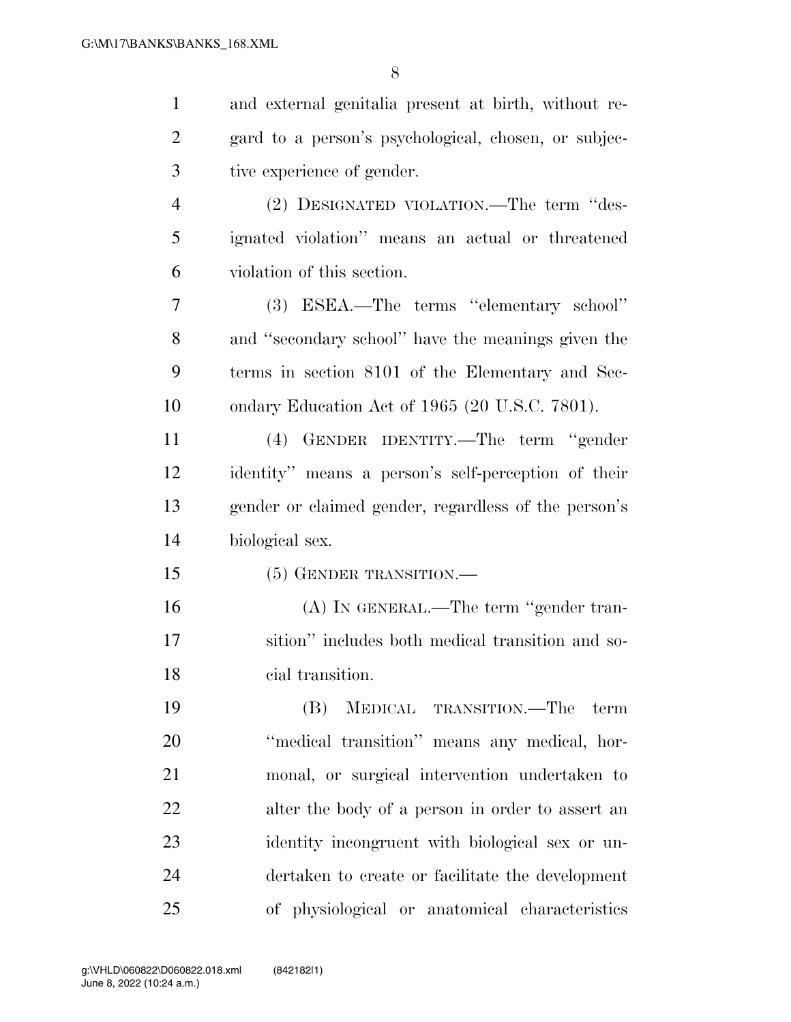| $\mathbf{1}$   | and external genitalia present at birth, without re- |
|----------------|------------------------------------------------------|
| $\overline{2}$ | gard to a person's psychological, chosen, or subjec- |
| 3              | tive experience of gender.                           |
| $\overline{4}$ | (2) DESIGNATED VIOLATION.—The term "des-             |
| 5              | ignated violation" means an actual or threatened     |
| 6              | violation of this section.                           |
| 7              | (3) ESEA.—The terms "elementary school"              |
| 8              | and "secondary school" have the meanings given the   |
| 9              | terms in section 8101 of the Elementary and Sec-     |
| 10             | ondary Education Act of 1965 (20 U.S.C. 7801).       |
| 11             | (4) GENDER IDENTITY.—The term "gender                |
| 12             | identity" means a person's self-perception of their  |
| 13             | gender or claimed gender, regardless of the person's |
| 14             | biological sex.                                      |
| 15             | (5) GENDER TRANSITION.                               |
| 16             | (A) IN GENERAL.—The term "gender tran-               |
| 17             | sition" includes both medical transition and so-     |
| 18             | cial transition.                                     |
| 19             | MEDICAL TRANSITION.—The<br>(B)<br>term               |
| 20             | "medical transition" means any medical, hor-         |
| 21             | monal, or surgical intervention undertaken to        |
| 22             | alter the body of a person in order to assert an     |
| 23             | identity incongruent with biological sex or un-      |
| 24             | dertaken to create or facilitate the development     |
| 25             | of physiological or anatomical characteristics       |